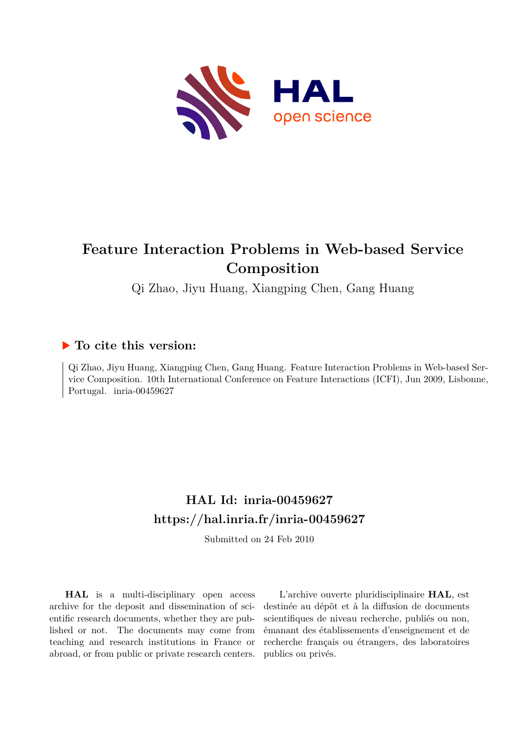

# **Feature Interaction Problems in Web-based Service Composition**

Qi Zhao, Jiyu Huang, Xiangping Chen, Gang Huang

## **To cite this version:**

Qi Zhao, Jiyu Huang, Xiangping Chen, Gang Huang. Feature Interaction Problems in Web-based Service Composition. 10th International Conference on Feature Interactions (ICFI), Jun 2009, Lisbonne, Portugal. inria-00459627

# **HAL Id: inria-00459627 <https://hal.inria.fr/inria-00459627>**

Submitted on 24 Feb 2010

**HAL** is a multi-disciplinary open access archive for the deposit and dissemination of scientific research documents, whether they are published or not. The documents may come from teaching and research institutions in France or abroad, or from public or private research centers.

L'archive ouverte pluridisciplinaire **HAL**, est destinée au dépôt et à la diffusion de documents scientifiques de niveau recherche, publiés ou non, émanant des établissements d'enseignement et de recherche français ou étrangers, des laboratoires publics ou privés.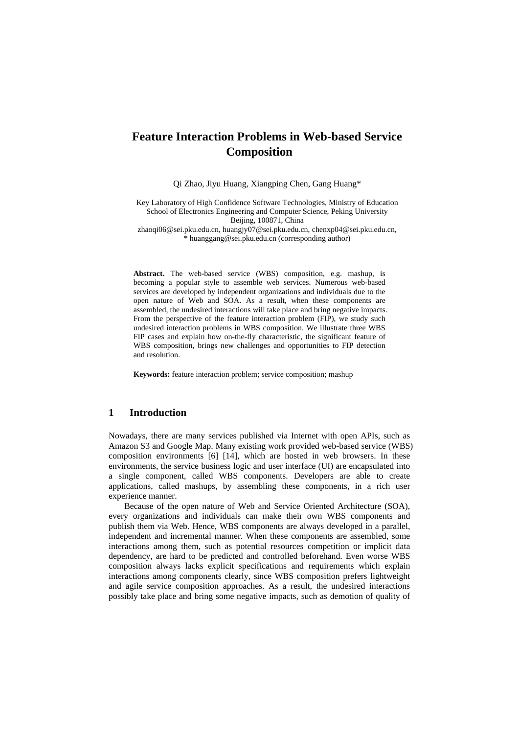## **Feature Interaction Problems in Web-based Service Composition**

Qi Zhao, Jiyu Huang, Xiangping Chen, Gang Huang\*

Key Laboratory of High Confidence Software Technologies, Ministry of Education School of Electronics Engineering and Computer Science, Peking University Beijing, 100871, China

zhaoqi06@sei.pku.edu.cn, huangjy07@sei.pku.edu.cn, chenxp04@sei.pku.edu.cn, \* huanggang@sei.pku.edu.cn (corresponding author)

**Abstract.** The web-based service (WBS) composition, e.g. mashup, is becoming a popular style to assemble web services. Numerous web-based services are developed by independent organizations and individuals due to the open nature of Web and SOA. As a result, when these components are assembled, the undesired interactions will take place and bring negative impacts. From the perspective of the feature interaction problem (FIP), we study such undesired interaction problems in WBS composition. We illustrate three WBS FIP cases and explain how on-the-fly characteristic, the significant feature of WBS composition, brings new challenges and opportunities to FIP detection and resolution.

**Keywords:** feature interaction problem; service composition; mashup

#### **1 Introduction**

Nowadays, there are many services published via Internet with open APIs, such as Amazon S3 and Google Map. Many existing work provided web-based service (WBS) composition environments [6] [14], which are hosted in web browsers. In these environments, the service business logic and user interface (UI) are encapsulated into a single component, called WBS components. Developers are able to create applications, called mashups, by assembling these components, in a rich user experience manner.

Because of the open nature of Web and Service Oriented Architecture (SOA), every organizations and individuals can make their own WBS components and publish them via Web. Hence, WBS components are always developed in a parallel, independent and incremental manner. When these components are assembled, some interactions among them, such as potential resources competition or implicit data dependency, are hard to be predicted and controlled beforehand. Even worse WBS composition always lacks explicit specifications and requirements which explain interactions among components clearly, since WBS composition prefers lightweight and agile service composition approaches. As a result, the undesired interactions possibly take place and bring some negative impacts, such as demotion of quality of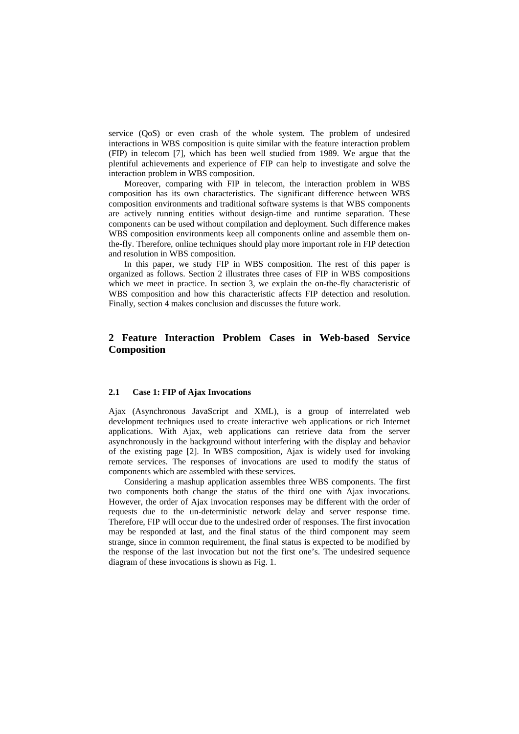service (QoS) or even crash of the whole system. The problem of undesired interactions in WBS composition is quite similar with the feature interaction problem (FIP) in telecom [7], which has been well studied from 1989. We argue that the plentiful achievements and experience of FIP can help to investigate and solve the interaction problem in WBS composition.

Moreover, comparing with FIP in telecom, the interaction problem in WBS composition has its own characteristics. The significant difference between WBS composition environments and traditional software systems is that WBS components are actively running entities without design-time and runtime separation. These components can be used without compilation and deployment. Such difference makes WBS composition environments keep all components online and assemble them onthe-fly. Therefore, online techniques should play more important role in FIP detection and resolution in WBS composition.

In this paper, we study FIP in WBS composition. The rest of this paper is organized as follows. Section 2 illustrates three cases of FIP in WBS compositions which we meet in practice. In section 3, we explain the on-the-fly characteristic of WBS composition and how this characteristic affects FIP detection and resolution. Finally, section 4 makes conclusion and discusses the future work.

### **2 Feature Interaction Problem Cases in Web-based Service Composition**

#### **2.1 Case 1: FIP of Ajax Invocations**

Ajax (Asynchronous JavaScript and XML), is a group of interrelated web development techniques used to create interactive web applications or rich Internet applications. With Ajax, web applications can retrieve data from the server asynchronously in the background without interfering with the display and behavior of the existing page [2]. In WBS composition, Ajax is widely used for invoking remote services. The responses of invocations are used to modify the status of components which are assembled with these services.

Considering a mashup application assembles three WBS components. The first two components both change the status of the third one with Ajax invocations. However, the order of Ajax invocation responses may be different with the order of requests due to the un-deterministic network delay and server response time. Therefore, FIP will occur due to the undesired order of responses. The first invocation may be responded at last, and the final status of the third component may seem strange, since in common requirement, the final status is expected to be modified by the response of the last invocation but not the first one's. The undesired sequence diagram of these invocations is shown as Fig. 1.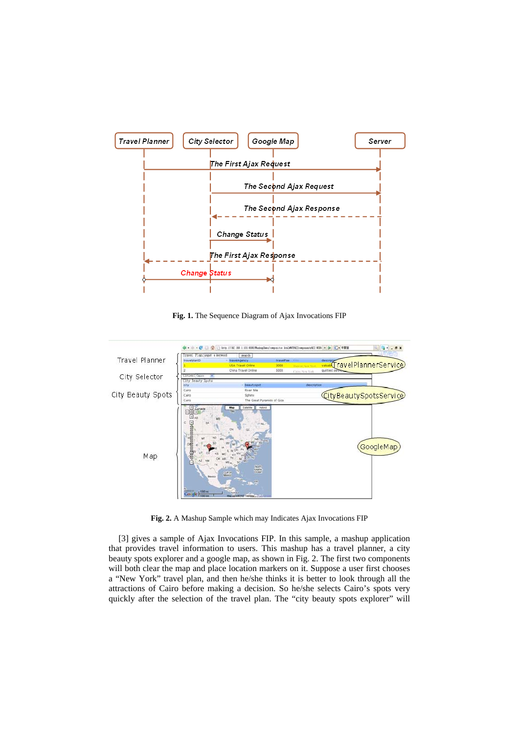

**Fig. 1.** The Sequence Diagram of Ajax Invocations FIP



**Fig. 2.** A Mashup Sample which may Indicates Ajax Invocations FIP

[3] gives a sample of Ajax Invocations FIP. In this sample, a mashup application that provides travel information to users. This mashup has a travel planner, a city beauty spots explorer and a google map, as shown in Fig. 2. The first two components will both clear the map and place location markers on it. Suppose a user first chooses a "New York" travel plan, and then he/she thinks it is better to look through all the attractions of Cairo before making a decision. So he/she selects Cairo's spots very quickly after the selection of the travel plan. The "city beauty spots explorer" will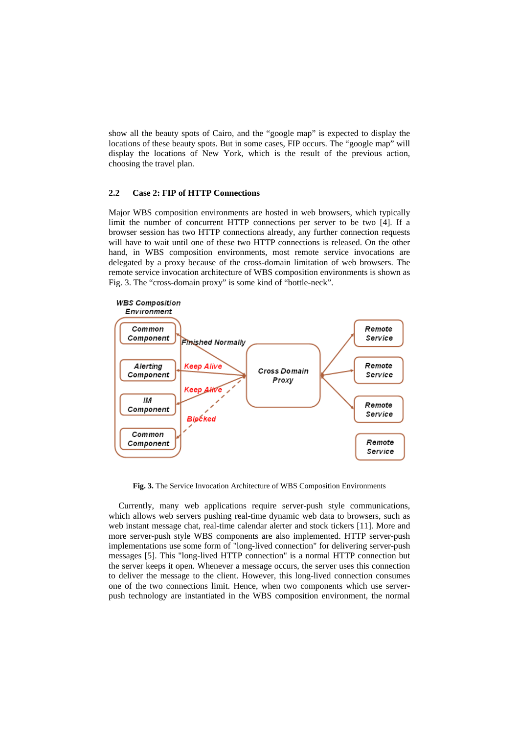show all the beauty spots of Cairo, and the "google map" is expected to display the locations of these beauty spots. But in some cases, FIP occurs. The "google map" will display the locations of New York, which is the result of the previous action, choosing the travel plan.

#### **2.2 Case 2: FIP of HTTP Connections**

Major WBS composition environments are hosted in web browsers, which typically limit the number of concurrent HTTP connections per server to be two [4]. If a browser session has two HTTP connections already, any further connection requests will have to wait until one of these two HTTP connections is released. On the other hand, in WBS composition environments, most remote service invocations are delegated by a proxy because of the cross-domain limitation of web browsers. The remote service invocation architecture of WBS composition environments is shown as Fig. 3. The "cross-domain proxy" is some kind of "bottle-neck".



**Fig. 3.** The Service Invocation Architecture of WBS Composition Environments

Currently, many web applications require server-push style communications, which allows web servers pushing real-time dynamic web data to browsers, such as web instant message chat, real-time calendar alerter and stock tickers [11]. More and more server-push style WBS components are also implemented. HTTP server-push implementations use some form of "long-lived connection" for delivering server-push messages [5]. This "long-lived HTTP connection" is a normal HTTP connection but the server keeps it open. Whenever a message occurs, the server uses this connection to deliver the message to the client. However, this long-lived connection consumes one of the two connections limit. Hence, when two components which use serverpush technology are instantiated in the WBS composition environment, the normal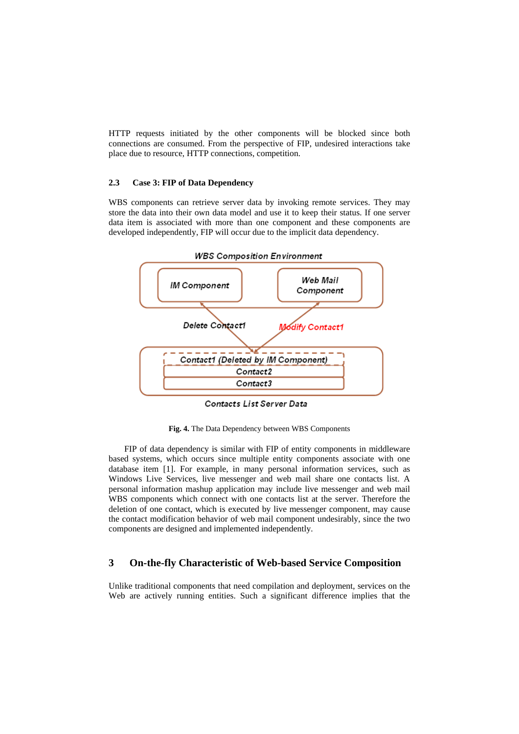HTTP requests initiated by the other components will be blocked since both connections are consumed. From the perspective of FIP, undesired interactions take place due to resource, HTTP connections, competition.

#### **2.3 Case 3: FIP of Data Dependency**

WBS components can retrieve server data by invoking remote services. They may store the data into their own data model and use it to keep their status. If one server data item is associated with more than one component and these components are developed independently, FIP will occur due to the implicit data dependency.



Contacts List Server Data

**Fig. 4.** The Data Dependency between WBS Components

FIP of data dependency is similar with FIP of entity components in middleware based systems, which occurs since multiple entity components associate with one database item [1]. For example, in many personal information services, such as Windows Live Services, live messenger and web mail share one contacts list. A personal information mashup application may include live messenger and web mail WBS components which connect with one contacts list at the server. Therefore the deletion of one contact, which is executed by live messenger component, may cause the contact modification behavior of web mail component undesirably, since the two components are designed and implemented independently.

## **3 On-the-fly Characteristic of Web-based Service Composition**

Unlike traditional components that need compilation and deployment, services on the Web are actively running entities. Such a significant difference implies that the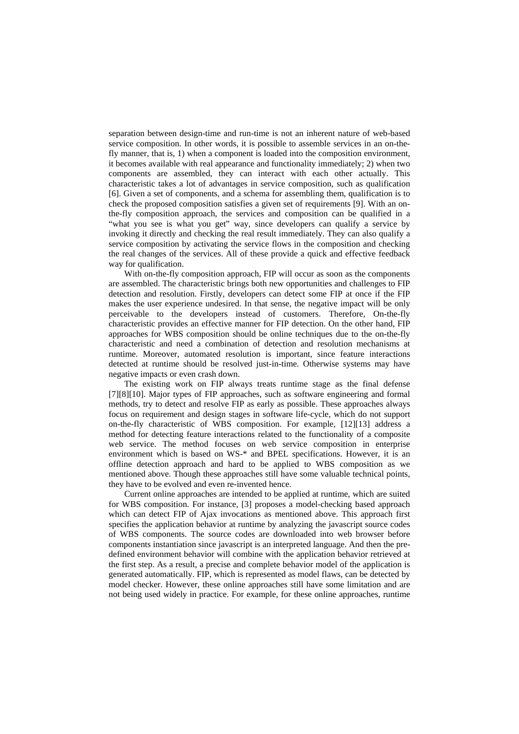separation between design-time and run-time is not an inherent nature of web-based service composition. In other words, it is possible to assemble services in an on-thefly manner, that is, 1) when a component is loaded into the composition environment, it becomes available with real appearance and functionality immediately; 2) when two components are assembled, they can interact with each other actually. This characteristic takes a lot of advantages in service composition, such as qualification [6]. Given a set of components, and a schema for assembling them, qualification is to check the proposed composition satisfies a given set of requirements [9]. With an onthe-fly composition approach, the services and composition can be qualified in a "what you see is what you get" way, since developers can qualify a service by invoking it directly and checking the real result immediately. They can also qualify a service composition by activating the service flows in the composition and checking the real changes of the services. All of these provide a quick and effective feedback way for qualification.

With on-the-fly composition approach, FIP will occur as soon as the components are assembled. The characteristic brings both new opportunities and challenges to FIP detection and resolution. Firstly, developers can detect some FIP at once if the FIP makes the user experience undesired. In that sense, the negative impact will be only perceivable to the developers instead of customers. Therefore, On-the-fly characteristic provides an effective manner for FIP detection. On the other hand, FIP approaches for WBS composition should be online techniques due to the on-the-fly characteristic and need a combination of detection and resolution mechanisms at runtime. Moreover, automated resolution is important, since feature interactions detected at runtime should be resolved just-in-time. Otherwise systems may have negative impacts or even crash down.

The existing work on FIP always treats runtime stage as the final defense [7][8][10]. Major types of FIP approaches, such as software engineering and formal methods, try to detect and resolve FIP as early as possible. These approaches always focus on requirement and design stages in software life-cycle, which do not support on-the-fly characteristic of WBS composition. For example, [12][13] address a method for detecting feature interactions related to the functionality of a composite web service. The method focuses on web service composition in enterprise environment which is based on WS-\* and BPEL specifications. However, it is an offline detection approach and hard to be applied to WBS composition as we mentioned above. Though these approaches still have some valuable technical points, they have to be evolved and even re-invented hence.

Current online approaches are intended to be applied at runtime, which are suited for WBS composition. For instance, [3] proposes a model-checking based approach which can detect FIP of Ajax invocations as mentioned above. This approach first specifies the application behavior at runtime by analyzing the javascript source codes of WBS components. The source codes are downloaded into web browser before components instantiation since javascript is an interpreted language. And then the predefined environment behavior will combine with the application behavior retrieved at the first step. As a result, a precise and complete behavior model of the application is generated automatically. FIP, which is represented as model flaws, can be detected by model checker. However, these online approaches still have some limitation and are not being used widely in practice. For example, for these online approaches, runtime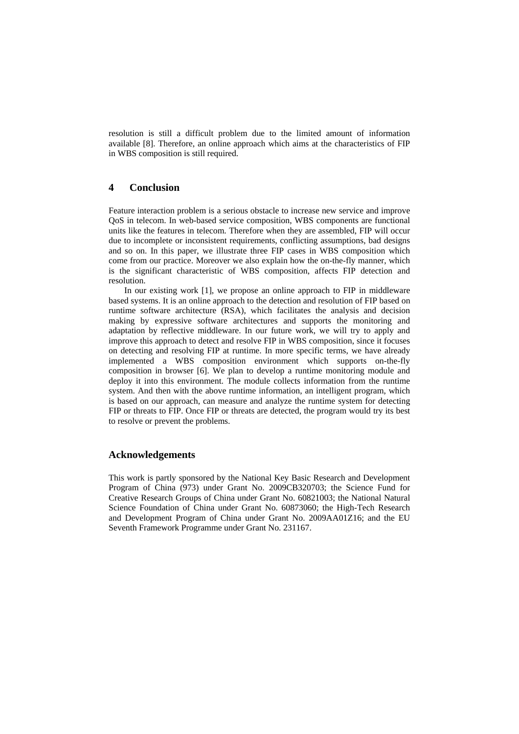resolution is still a difficult problem due to the limited amount of information available [8]. Therefore, an online approach which aims at the characteristics of FIP in WBS composition is still required.

## **4 Conclusion**

Feature interaction problem is a serious obstacle to increase new service and improve QoS in telecom. In web-based service composition, WBS components are functional units like the features in telecom. Therefore when they are assembled, FIP will occur due to incomplete or inconsistent requirements, conflicting assumptions, bad designs and so on. In this paper, we illustrate three FIP cases in WBS composition which come from our practice. Moreover we also explain how the on-the-fly manner, which is the significant characteristic of WBS composition, affects FIP detection and resolution.

In our existing work [1], we propose an online approach to FIP in middleware based systems. It is an online approach to the detection and resolution of FIP based on runtime software architecture (RSA), which facilitates the analysis and decision making by expressive software architectures and supports the monitoring and adaptation by reflective middleware. In our future work, we will try to apply and improve this approach to detect and resolve FIP in WBS composition, since it focuses on detecting and resolving FIP at runtime. In more specific terms, we have already implemented a WBS composition environment which supports on-the-fly composition in browser [6]. We plan to develop a runtime monitoring module and deploy it into this environment. The module collects information from the runtime system. And then with the above runtime information, an intelligent program, which is based on our approach, can measure and analyze the runtime system for detecting FIP or threats to FIP. Once FIP or threats are detected, the program would try its best to resolve or prevent the problems.

#### **Acknowledgements**

This work is partly sponsored by the National Key Basic Research and Development Program of China (973) under Grant No. 2009CB320703; the Science Fund for Creative Research Groups of China under Grant No. 60821003; the National Natural Science Foundation of China under Grant No. 60873060; the High-Tech Research and Development Program of China under Grant No. 2009AA01Z16; and the EU Seventh Framework Programme under Grant No. 231167.